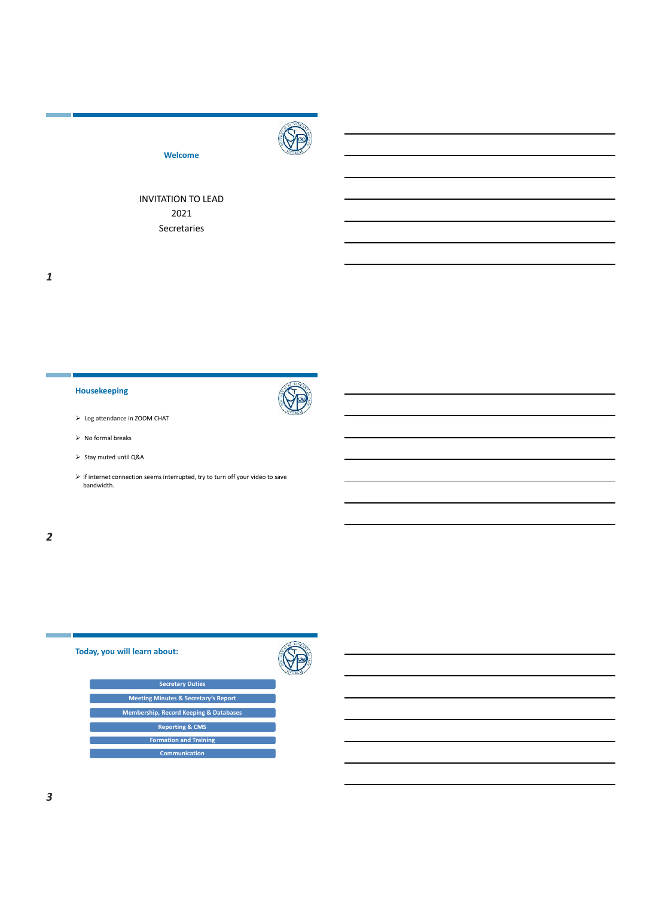

#### **Welcome**

## INVITATION TO LEAD 2021 Secretaries

#### **Housekeeping**



- ➢ Log attendance in ZOOM CHAT
- ➢ No formal breaks
- ➢ Stay muted until Q&A
- ➢ If internet connection seems interrupted, try to turn off your video to save bandwidth.

### *2*

# **Today, you will learn about: Secretary Duties Meeting Minutes & Secretary's Report Membership, Record Keeping & Databases Reporting & CMS Formation and Training Communication**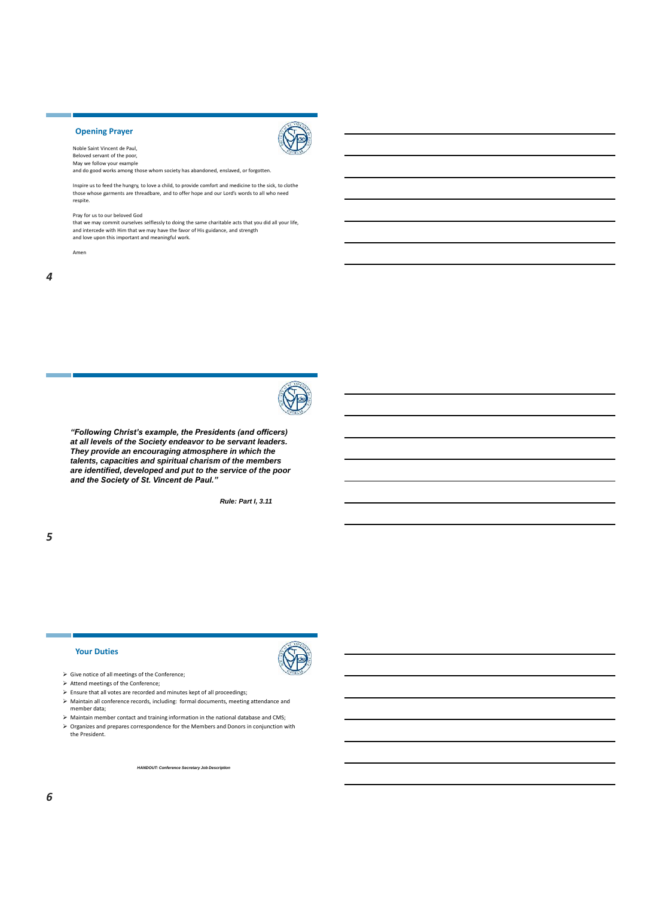#### **Opening Prayer**



Noble Saint Vincent de Paul, Beloved servant of the poor,

May we follow your example<br>and do good works among those whom society has abandoned, enslaved, or forgotten.

Inspire us to feed the hungry, to love a child, to provide comfort and medicine to the sick, to clothe those whose garments are threadbare, and to offer hope and our Lord's words to all who need respite.

Pray for us to our beloved God

that we may commit ourselves selflessly to doing the same charitable acts that you did all your life,<br>and intercede with Him that we may have the favor of His guidance, and strength<br>and love upon this important and meaning

Amen



*"Following Christ's example, the Presidents (and officers) at all levels of the Society endeavor to be servant leaders. They provide an encouraging atmosphere in which the talents, capacities and spiritual charism of the members are identified, developed and put to the service of the poor and the Society of St. Vincent de Paul."*

*Rule: Part I, 3.11*

*5*

### **Your Duties**

- 
- ➢ Give notice of all meetings of the Conference;
- $\blacktriangleright$  Attend meetings of the Conference;
- $\triangleright$  Ensure that all votes are recorded and minutes kept of all proceedings;
- $\triangleright$  Maintain all conference records, including: formal documents, meeting attendance and member data;
- ➢ Maintain member contact and training information in the national database and CMS;

➢ Organizes and prepares correspondence for the Members and Donors in conjunction with the President.

*HANDOUT: Conference Secretary Job Description*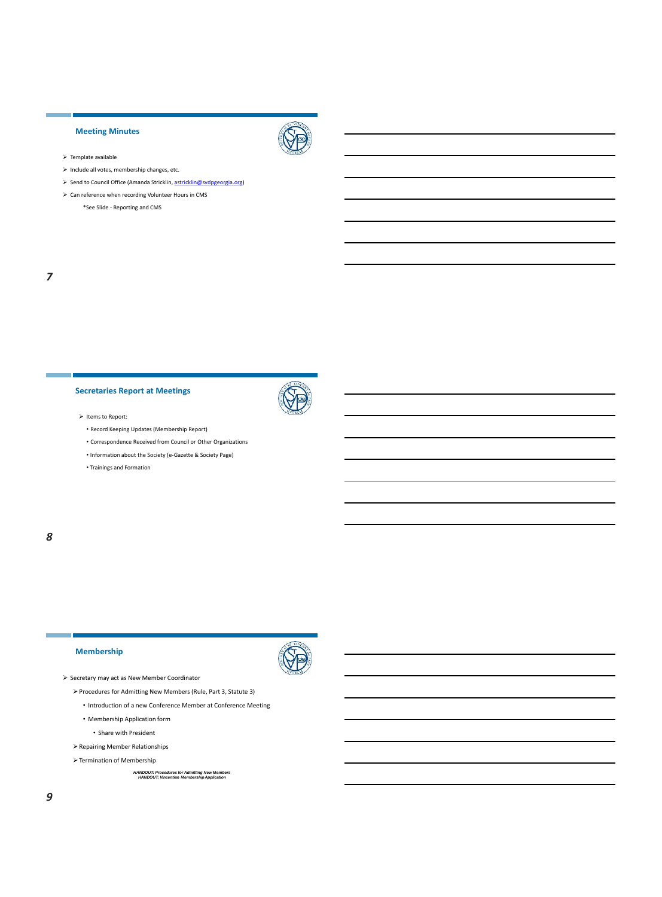#### **Meeting Minutes**



- $\blacktriangleright$  Include all votes, membership changes, etc.
- ➢ Send to Council Office (Amanda Stricklin, [astricklin@svdpgeorgia.org](mailto:astricklin@svdpgeorgia.org))
- ➢ Can reference when recording Volunteer Hours in CMS

\*See Slide - Reporting and CMS



#### **Secretaries Report at Meetings**



#### ➢ Items to Report:

- Record Keeping Updates (Membership Report) • Correspondence Received from Council or Other Organizations
- Information about the Society (e-Gazette & Society Page)
- Trainings and Formation

### *8*

#### **Membership**

- ➢ Secretary may act as New Member Coordinator
	- ➢Procedures for Admitting New Members (Rule, Part 3, Statute 3)
		- Introduction of a new Conference Member at Conference Meeting
		- Membership Application form
			- Share with President
	- $\blacktriangleright$  Repairing Member Relationships
	- ➢Termination of Membership

*HANDOUT: Procedures for Admitting New Members HANDOUT: Vincentian Membership Application*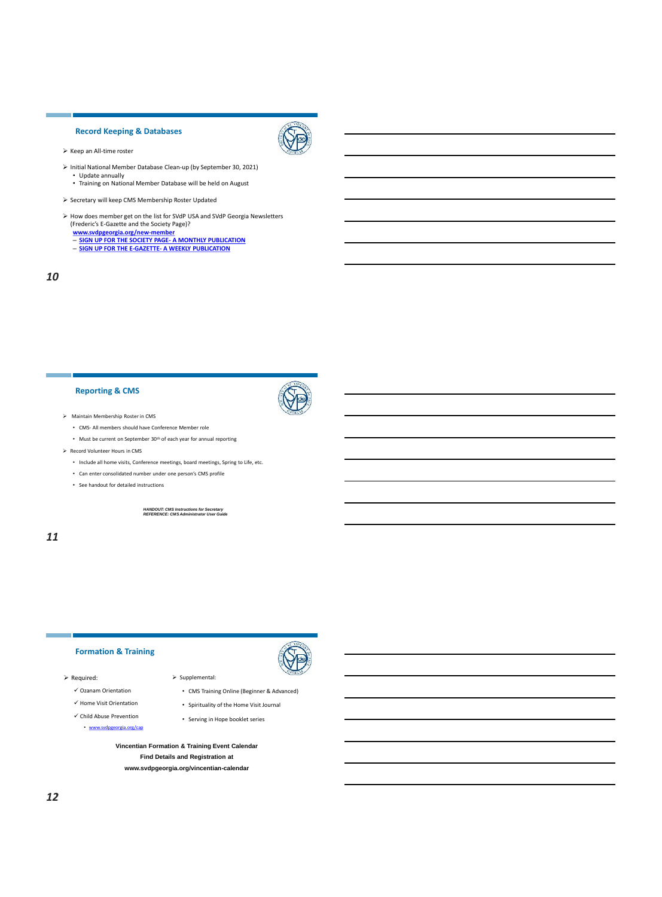#### **Record Keeping & Databases**

- ➢ Keep an All-time roster
- ➢ Initial National Member Database Clean-up (by September 30, 2021) • Update annually • Training on National Member Database will be held on August
- 
- ➢ Secretary will keep CMS Membership Roster Updated
- ➢ How does member get on the list for SVdP USA and SVdP Georgia Newsletters (Frederic's E-Gazette and the Society Page)?
	- **[www.svdpgeorgia.org/new-member](http://www.svdpgeorgia.org/new-member) [SIGN UP FOR THE SOCIETY PAGE-](https://docs.google.com/forms/d/e/1FAIpQLScf99q_9B87QHbBd2KGpB6NYPDTk8_2yH0zLpw_iHvoEgtd0A/viewform) A MONTHLY PUBLICATION [SIGN UP FOR THE E-GAZETTE-](http://bit.ly/1GKXYJ6) A WEEKLY PUBLICATION**
	-

#### *10*

#### **Reporting & CMS**



- ➢ Maintain Membership Roster in CMS
	- CMS- All members should have Conference Member role
	- Must be current on September 30th of each year for annual reporting
- $\triangleright$  Record Volunteer Hours in CMS
	- Include all home visits, Conference meetings, board meetings, Spring to Life, etc.
	- Can enter consolidated number under one person's CMS profile
	- See handout for detailed instructions

*HANDOUT: CMS Instructions for Secretary REFERENCE: CMS Administrator User Guide*

#### *11*

#### **Formation & Training**

#### ➢ Required:

- ✓ Ozanam Orientation
- ✓ Home Visit Orientation
- ✓ Child Abuse Prevention • [www.svdpgeorgia.org/cap](http://www.svdpgeorgia.org/cap)
- CMS Training Online (Beginner & Advanced) • Spirituality of the Home Visit Journal
- Serving in Hope booklet series
- *HANDOUT: Conference Formation & Training Resources* **www.svdpgeorgia.org/vincentian-calendar Vincentian Formation & Training Event Calendar Find Details and Registration at**

➢ Supplemental: